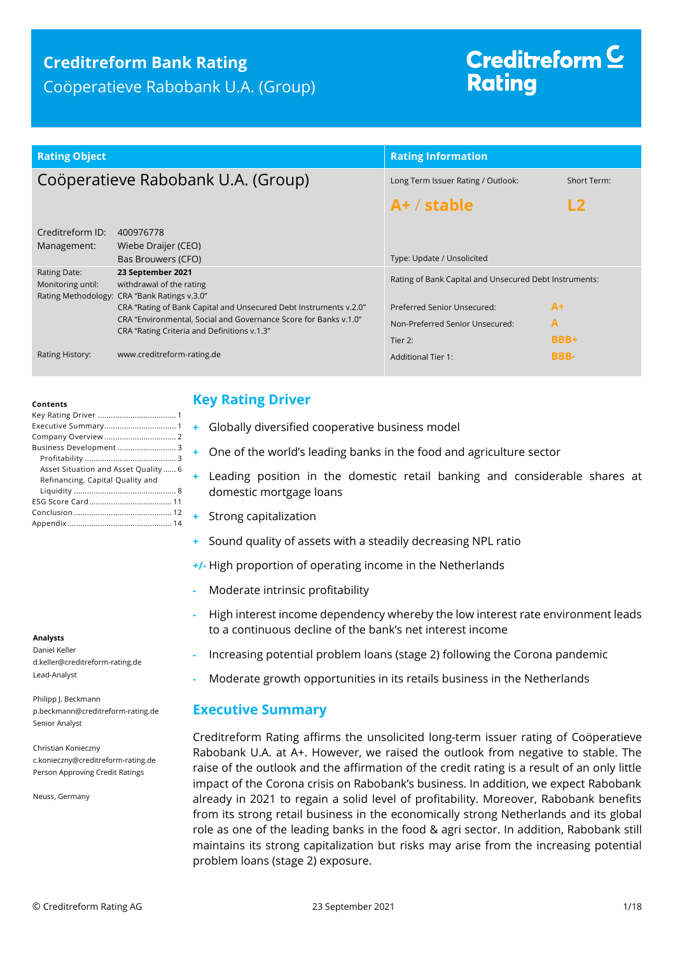## **Creditreform Bank Rating** Coöperatieve Rabobank U.A. (Group)

# Creditreform  $\subseteq$ **Rating**

| <b>Rating Object</b>               |                                                                                                                                                                                      | <b>Rating Information</b>                              |               |  |  |
|------------------------------------|--------------------------------------------------------------------------------------------------------------------------------------------------------------------------------------|--------------------------------------------------------|---------------|--|--|
| Coöperatieve Rabobank U.A. (Group) |                                                                                                                                                                                      | Long Term Issuer Rating / Outlook:                     | Short Term:   |  |  |
|                                    |                                                                                                                                                                                      | $A+ /$ stable                                          | $\mathsf{L2}$ |  |  |
| Creditreform ID:<br>Management:    | 400976778<br>Wiebe Draijer (CEO)<br>Bas Brouwers (CFO)                                                                                                                               | Type: Update / Unsolicited                             |               |  |  |
| Rating Date:<br>Monitoring until:  | 23 September 2021<br>withdrawal of the rating<br>Rating Methodology: CRA "Bank Ratings v.3.0"                                                                                        | Rating of Bank Capital and Unsecured Debt Instruments: |               |  |  |
|                                    | CRA "Rating of Bank Capital and Unsecured Debt Instruments v.2.0"<br>CRA "Environmental, Social and Governance Score for Banks v.1.0"<br>CRA "Rating Criteria and Definitions v.1.3" | Preferred Senior Unsecured:                            | $A+$          |  |  |
|                                    |                                                                                                                                                                                      | Non-Preferred Senior Unsecured:                        | A             |  |  |
|                                    |                                                                                                                                                                                      | Tier 2:                                                | BBB+          |  |  |
| Rating History:                    | www.creditreform-rating.de                                                                                                                                                           | <b>Additional Tier 1:</b>                              | BBB-          |  |  |

#### **Contents**

| Business Development  3             |
|-------------------------------------|
|                                     |
| Asset Situation and Asset Quality 6 |
| Refinancing, Capital Quality and    |
|                                     |
|                                     |
|                                     |
|                                     |

#### **Analysts**

Daniel Keller d.keller@creditreform-rating.de Lead-Analyst

Philipp J. Beckmann p.beckmann@creditreform-rating.de Senior Analyst

Christian Konieczny c.konieczny@creditreform-rating.de Person Approving Credit Ratings

Neuss, Germany

## <span id="page-0-0"></span>**Key Rating Driver**

- **+** Globally diversified cooperative business model
- **+** One of the world's leading banks in the food and agriculture sector
- **+** Leading position in the domestic retail banking and considerable shares at domestic mortgage loans
- **+** Strong capitalization
- **+** Sound quality of assets with a steadily decreasing NPL ratio
- **+/-** High proportion of operating income in the Netherlands
- **-** Moderate intrinsic profitability
- **-** High interest income dependency whereby the low interest rate environment leads to a continuous decline of the bank's net interest income
- **-** Increasing potential problem loans (stage 2) following the Corona pandemic
- **-** Moderate growth opportunities in its retails business in the Netherlands

## <span id="page-0-1"></span>**Executive Summary**

Creditreform Rating affirms the unsolicited long-term issuer rating of Coöperatieve Rabobank U.A. at A+. However, we raised the outlook from negative to stable. The raise of the outlook and the affirmation of the credit rating is a result of an only little impact of the Corona crisis on Rabobank's business. In addition, we expect Rabobank already in 2021 to regain a solid level of profitability. Moreover, Rabobank benefits from its strong retail business in the economically strong Netherlands and its global role as one of the leading banks in the food & agri sector. In addition, Rabobank still maintains its strong capitalization but risks may arise from the increasing potential problem loans (stage 2) exposure.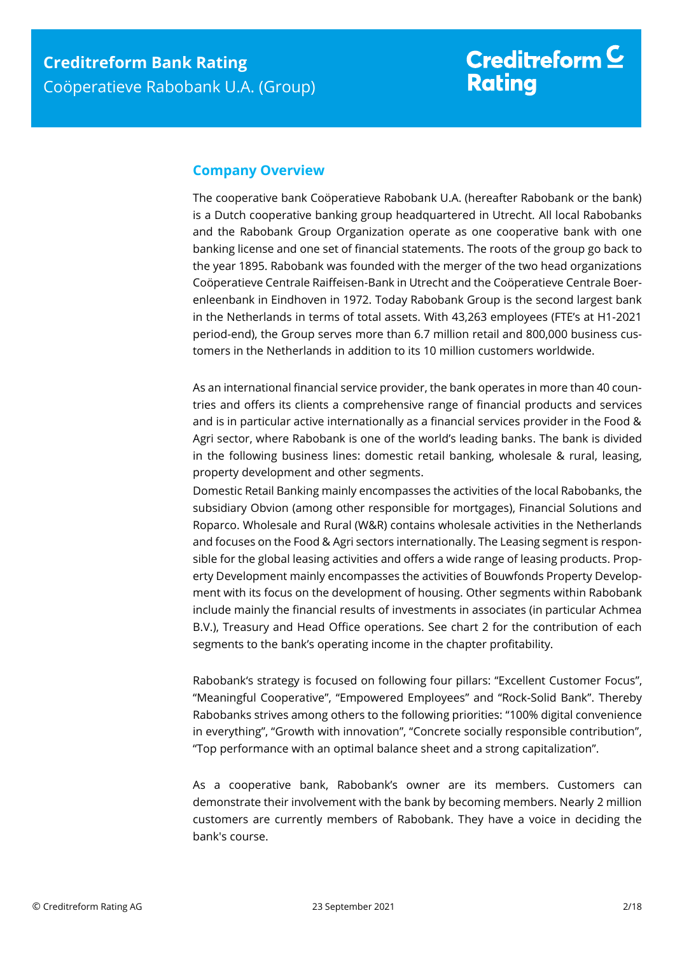## <span id="page-1-0"></span>**Company Overview**

The cooperative bank Coöperatieve Rabobank U.A. (hereafter Rabobank or the bank) is a Dutch cooperative banking group headquartered in Utrecht. All local Rabobanks and the Rabobank Group Organization operate as one cooperative bank with one banking license and one set of financial statements. The roots of the group go back to the year 1895. Rabobank was founded with the merger of the two head organizations Coöperatieve Centrale Raiffeisen-Bank in Utrecht and the Coöperatieve Centrale Boerenleenbank in Eindhoven in 1972. Today Rabobank Group is the second largest bank in the Netherlands in terms of total assets. With 43,263 employees (FTE's at H1-2021 period-end), the Group serves more than 6.7 million retail and 800,000 business customers in the Netherlands in addition to its 10 million customers worldwide.

As an international financial service provider, the bank operates in more than 40 countries and offers its clients a comprehensive range of financial products and services and is in particular active internationally as a financial services provider in the Food & Agri sector, where Rabobank is one of the world's leading banks. The bank is divided in the following business lines: domestic retail banking, wholesale & rural, leasing, property development and other segments.

Domestic Retail Banking mainly encompasses the activities of the local Rabobanks, the subsidiary Obvion (among other responsible for mortgages), Financial Solutions and Roparco. Wholesale and Rural (W&R) contains wholesale activities in the Netherlands and focuses on the Food & Agri sectors internationally. The Leasing segment is responsible for the global leasing activities and offers a wide range of leasing products. Property Development mainly encompasses the activities of Bouwfonds Property Development with its focus on the development of housing. Other segments within Rabobank include mainly the financial results of investments in associates (in particular Achmea B.V.), Treasury and Head Office operations. See chart 2 for the contribution of each segments to the bank's operating income in the chapter profitability.

Rabobank's strategy is focused on following four pillars: "Excellent Customer Focus", "Meaningful Cooperative", "Empowered Employees" and "Rock-Solid Bank". Thereby Rabobanks strives among others to the following priorities: "100% digital convenience in everything", "Growth with innovation", "Concrete socially responsible contribution", "Top performance with an optimal balance sheet and a strong capitalization".

As a cooperative bank, Rabobank's owner are its members. Customers can demonstrate their involvement with the bank by becoming members. Nearly 2 million customers are currently members of Rabobank. They have a voice in deciding the bank's course.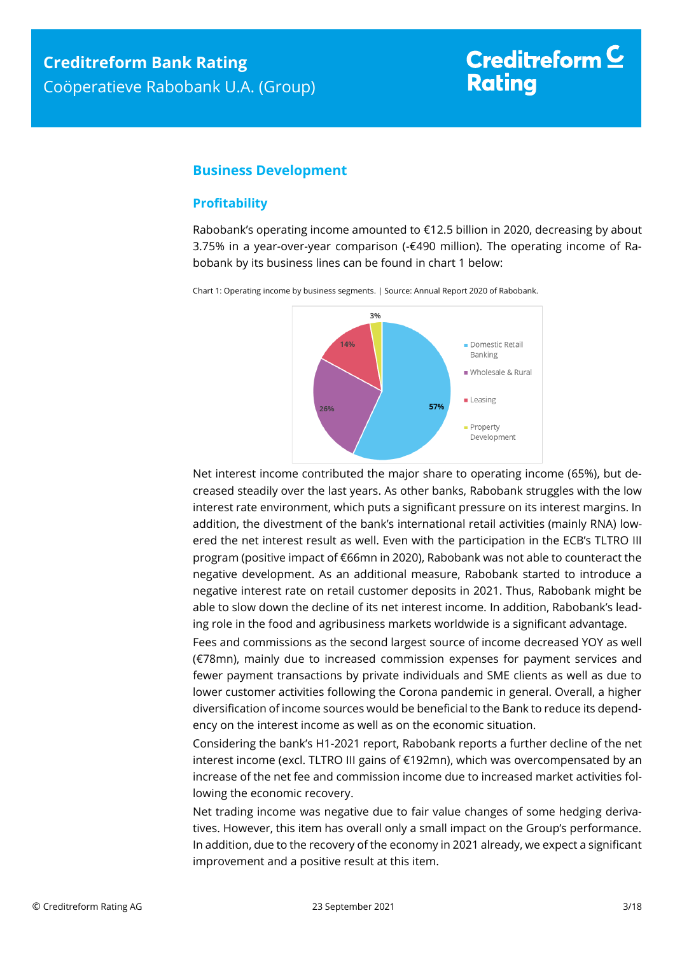# Creditreform  $\mathsf{\underline{C}}$ **Rating**

## <span id="page-2-0"></span>**Business Development**

### <span id="page-2-1"></span>**Profitability**

Rabobank's operating income amounted to €12.5 billion in 2020, decreasing by about 3.75% in a year-over-year comparison (-€490 million). The operating income of Rabobank by its business lines can be found in chart 1 below:

> $30/2$ 14% Domestic Retail Banking Wholesale & Rural  $Leasing$ 57% 26% **Property** Development

Chart 1: Operating income by business segments. | Source: Annual Report 2020 of Rabobank.

Net interest income contributed the major share to operating income (65%), but decreased steadily over the last years. As other banks, Rabobank struggles with the low interest rate environment, which puts a significant pressure on its interest margins. In addition, the divestment of the bank's international retail activities (mainly RNA) lowered the net interest result as well. Even with the participation in the ECB's TLTRO III program (positive impact of €66mn in 2020), Rabobank was not able to counteract the negative development. As an additional measure, Rabobank started to introduce a negative interest rate on retail customer deposits in 2021. Thus, Rabobank might be able to slow down the decline of its net interest income. In addition, Rabobank's leading role in the food and agribusiness markets worldwide is a significant advantage.

Fees and commissions as the second largest source of income decreased YOY as well (€78mn), mainly due to increased commission expenses for payment services and fewer payment transactions by private individuals and SME clients as well as due to lower customer activities following the Corona pandemic in general. Overall, a higher diversification of income sources would be beneficial to the Bank to reduce its dependency on the interest income as well as on the economic situation.

Considering the bank's H1-2021 report, Rabobank reports a further decline of the net interest income (excl. TLTRO III gains of €192mn), which was overcompensated by an increase of the net fee and commission income due to increased market activities following the economic recovery.

Net trading income was negative due to fair value changes of some hedging derivatives. However, this item has overall only a small impact on the Group's performance. In addition, due to the recovery of the economy in 2021 already, we expect a significant improvement and a positive result at this item.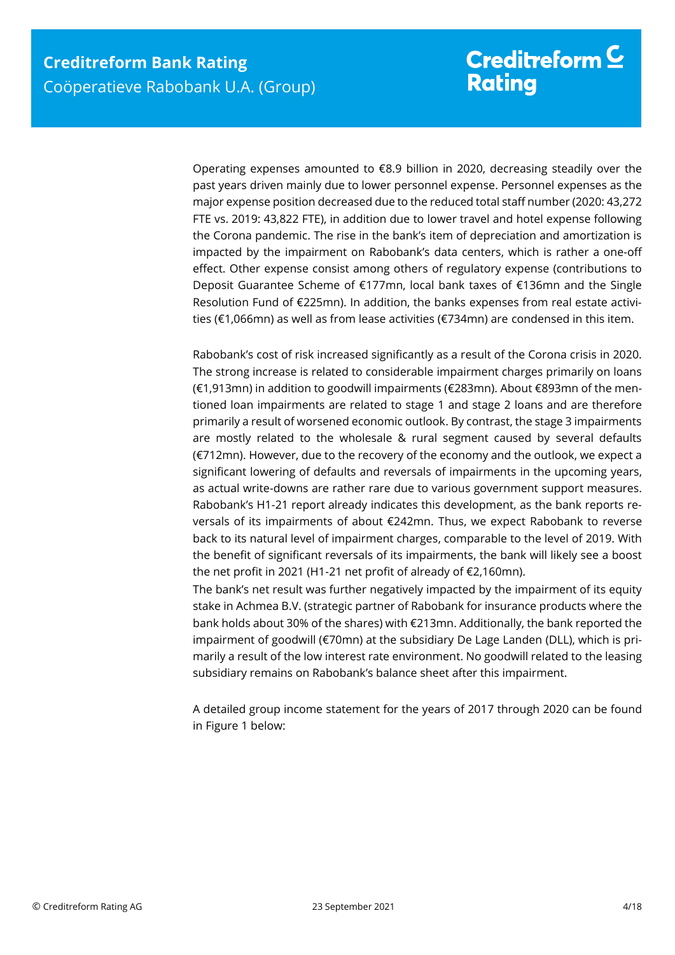Operating expenses amounted to €8.9 billion in 2020, decreasing steadily over the past years driven mainly due to lower personnel expense. Personnel expenses as the major expense position decreased due to the reduced total staff number (2020: 43,272 FTE vs. 2019: 43,822 FTE), in addition due to lower travel and hotel expense following the Corona pandemic. The rise in the bank's item of depreciation and amortization is impacted by the impairment on Rabobank's data centers, which is rather a one-off effect. Other expense consist among others of regulatory expense (contributions to Deposit Guarantee Scheme of €177mn, local bank taxes of €136mn and the Single Resolution Fund of €225mn). In addition, the banks expenses from real estate activities (€1,066mn) as well as from lease activities (€734mn) are condensed in this item.

Rabobank's cost of risk increased significantly as a result of the Corona crisis in 2020. The strong increase is related to considerable impairment charges primarily on loans (€1,913mn) in addition to goodwill impairments (€283mn). About €893mn of the mentioned loan impairments are related to stage 1 and stage 2 loans and are therefore primarily a result of worsened economic outlook. By contrast, the stage 3 impairments are mostly related to the wholesale & rural segment caused by several defaults (€712mn). However, due to the recovery of the economy and the outlook, we expect a significant lowering of defaults and reversals of impairments in the upcoming years, as actual write-downs are rather rare due to various government support measures. Rabobank's H1-21 report already indicates this development, as the bank reports reversals of its impairments of about €242mn. Thus, we expect Rabobank to reverse back to its natural level of impairment charges, comparable to the level of 2019. With the benefit of significant reversals of its impairments, the bank will likely see a boost the net profit in 2021 (H1-21 net profit of already of €2,160mn).

The bank's net result was further negatively impacted by the impairment of its equity stake in Achmea B.V. (strategic partner of Rabobank for insurance products where the bank holds about 30% of the shares) with €213mn. Additionally, the bank reported the impairment of goodwill (€70mn) at the subsidiary De Lage Landen (DLL), which is primarily a result of the low interest rate environment. No goodwill related to the leasing subsidiary remains on Rabobank's balance sheet after this impairment.

A detailed group income statement for the years of 2017 through 2020 can be found in Figure 1 below: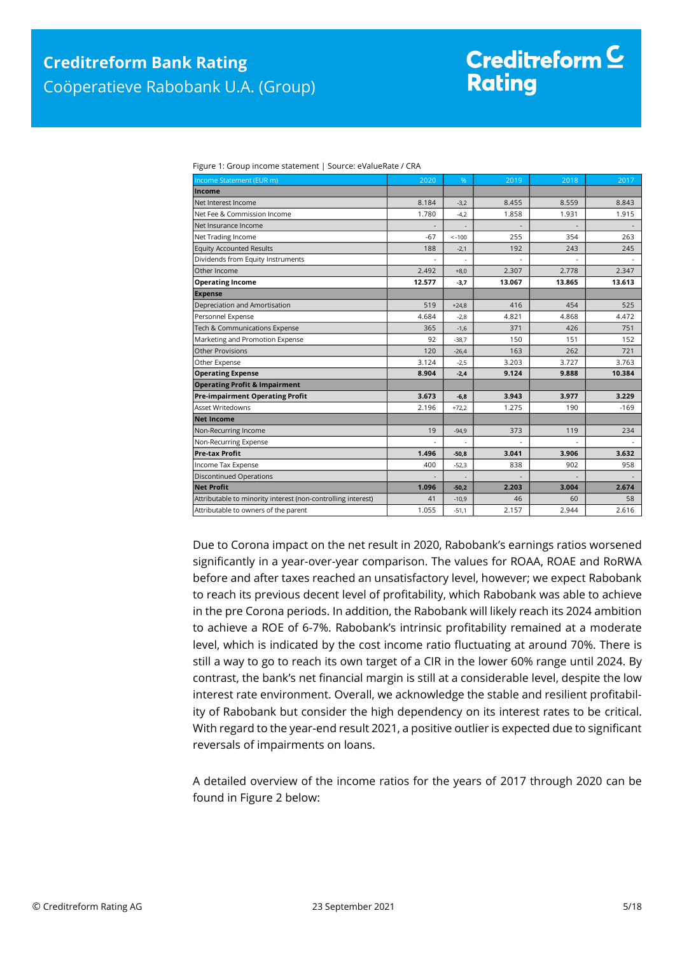| Figure 1: Group income statement   Source: eValueRate / CRA |  |
|-------------------------------------------------------------|--|

| Income Statement (EUR m)                                     | 2020   | %        | 2019   | 2018   | 2017   |
|--------------------------------------------------------------|--------|----------|--------|--------|--------|
| Income                                                       |        |          |        |        |        |
| Net Interest Income                                          | 8.184  | $-3,2$   | 8.455  | 8.559  | 8.843  |
| Net Fee & Commission Income                                  | 1.780  | $-4,2$   | 1.858  | 1.931  | 1.915  |
| Net Insurance Income                                         |        |          |        |        |        |
| Net Trading Income                                           | $-67$  | $< -100$ | 255    | 354    | 263    |
| <b>Equity Accounted Results</b>                              | 188    | $-2,1$   | 192    | 243    | 245    |
| Dividends from Equity Instruments                            |        |          |        |        |        |
| Other Income                                                 | 2.492  | $+8.0$   | 2.307  | 2.778  | 2.347  |
| <b>Operating Income</b>                                      | 12.577 | $-3,7$   | 13.067 | 13.865 | 13.613 |
| <b>Expense</b>                                               |        |          |        |        |        |
| Depreciation and Amortisation                                | 519    | $+24,8$  | 416    | 454    | 525    |
| Personnel Expense                                            | 4.684  | $-2.8$   | 4.821  | 4.868  | 4.472  |
| Tech & Communications Expense                                | 365    | $-1,6$   | 371    | 426    | 751    |
| Marketing and Promotion Expense                              | 92     | $-38.7$  | 150    | 151    | 152    |
| Other Provisions                                             | 120    | $-26,4$  | 163    | 262    | 721    |
| Other Expense                                                | 3.124  | $-2,5$   | 3.203  | 3.727  | 3.763  |
| <b>Operating Expense</b>                                     | 8.904  | $-2,4$   | 9.124  | 9.888  | 10.384 |
| <b>Operating Profit &amp; Impairment</b>                     |        |          |        |        |        |
| <b>Pre-impairment Operating Profit</b>                       | 3.673  | $-6,8$   | 3.943  | 3.977  | 3.229  |
| <b>Asset Writedowns</b>                                      | 2.196  | $+72,2$  | 1.275  | 190    | $-169$ |
| <b>Net Income</b>                                            |        |          |        |        |        |
| Non-Recurring Income                                         | 19     | $-94,9$  | 373    | 119    | 234    |
| Non-Recurring Expense                                        | L.     |          |        |        |        |
| <b>Pre-tax Profit</b>                                        | 1.496  | $-50,8$  | 3.041  | 3.906  | 3.632  |
| Income Tax Expense                                           | 400    | $-52,3$  | 838    | 902    | 958    |
| <b>Discontinued Operations</b>                               |        |          |        |        |        |
| <b>Net Profit</b>                                            | 1.096  | $-50,2$  | 2.203  | 3.004  | 2.674  |
| Attributable to minority interest (non-controlling interest) | 41     | $-10,9$  | 46     | 60     | 58     |
| Attributable to owners of the parent                         | 1.055  | $-51,1$  | 2.157  | 2.944  | 2.616  |

Due to Corona impact on the net result in 2020, Rabobank's earnings ratios worsened significantly in a year-over-year comparison. The values for ROAA, ROAE and RoRWA before and after taxes reached an unsatisfactory level, however; we expect Rabobank to reach its previous decent level of profitability, which Rabobank was able to achieve in the pre Corona periods. In addition, the Rabobank will likely reach its 2024 ambition to achieve a ROE of 6-7%. Rabobank's intrinsic profitability remained at a moderate level, which is indicated by the cost income ratio fluctuating at around 70%. There is still a way to go to reach its own target of a CIR in the lower 60% range until 2024. By contrast, the bank's net financial margin is still at a considerable level, despite the low interest rate environment. Overall, we acknowledge the stable and resilient profitability of Rabobank but consider the high dependency on its interest rates to be critical. With regard to the year-end result 2021, a positive outlier is expected due to significant reversals of impairments on loans.

A detailed overview of the income ratios for the years of 2017 through 2020 can be found in Figure 2 below: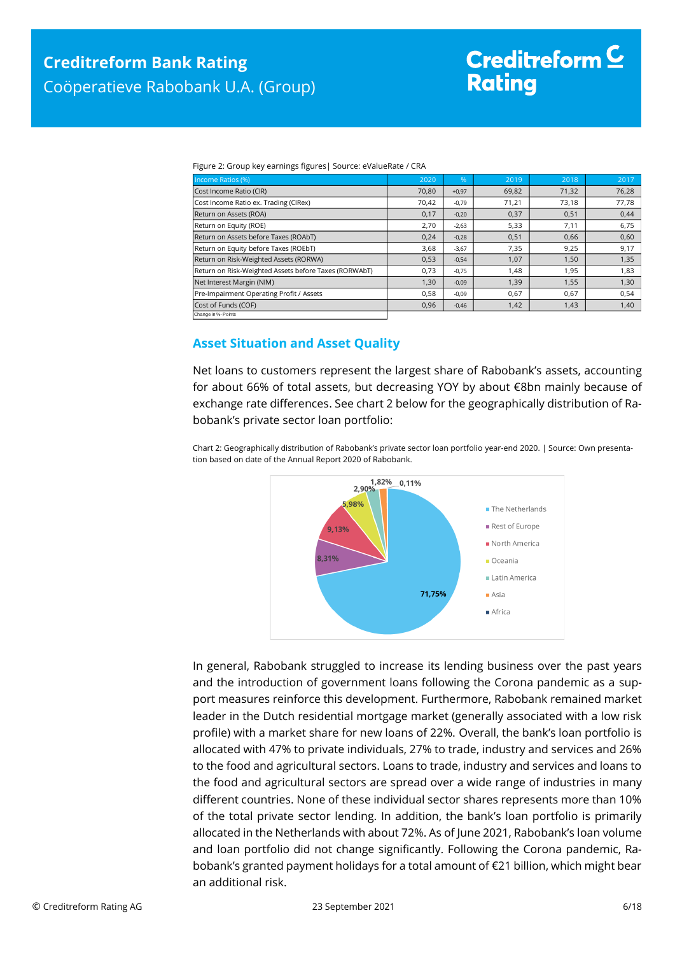| Figure 2: Group key earnings figures   Source: eValueRate / CRA |
|-----------------------------------------------------------------|
|                                                                 |

| Income Ratios (%)                                     | 2020  | %       | 2019  | 2018  | 2017  |
|-------------------------------------------------------|-------|---------|-------|-------|-------|
| Cost Income Ratio (CIR)                               | 70,80 | $+0,97$ | 69,82 | 71,32 | 76,28 |
| Cost Income Ratio ex. Trading (CIRex)                 | 70,42 | $-0,79$ | 71,21 | 73,18 | 77,78 |
| Return on Assets (ROA)                                | 0,17  | $-0,20$ | 0,37  | 0,51  | 0,44  |
| Return on Equity (ROE)                                | 2,70  | $-2,63$ | 5,33  | 7,11  | 6,75  |
| Return on Assets before Taxes (ROAbT)                 | 0,24  | $-0,28$ | 0,51  | 0,66  | 0,60  |
| Return on Equity before Taxes (ROEbT)                 | 3,68  | $-3,67$ | 7,35  | 9,25  | 9,17  |
| Return on Risk-Weighted Assets (RORWA)                | 0,53  | $-0,54$ | 1,07  | 1,50  | 1,35  |
| Return on Risk-Weighted Assets before Taxes (RORWAbT) | 0,73  | $-0,75$ | 1,48  | 1,95  | 1,83  |
| Net Interest Margin (NIM)                             | 1,30  | $-0,09$ | 1,39  | 1,55  | 1,30  |
| Pre-Impairment Operating Profit / Assets              | 0,58  | $-0,09$ | 0,67  | 0,67  | 0,54  |
| Cost of Funds (COF)                                   | 0,96  | $-0,46$ | 1,42  | 1,43  | 1,40  |
| Change in %- Points                                   |       |         |       |       |       |

#### <span id="page-5-0"></span>**Asset Situation and Asset Quality**

Net loans to customers represent the largest share of Rabobank's assets, accounting for about 66% of total assets, but decreasing YOY by about €8bn mainly because of exchange rate differences. See chart 2 below for the geographically distribution of Rabobank's private sector loan portfolio:

Chart 2: Geographically distribution of Rabobank's private sector loan portfolio year-end 2020. | Source: Own presentation based on date of the Annual Report 2020 of Rabobank.



In general, Rabobank struggled to increase its lending business over the past years and the introduction of government loans following the Corona pandemic as a support measures reinforce this development. Furthermore, Rabobank remained market leader in the Dutch residential mortgage market (generally associated with a low risk profile) with a market share for new loans of 22%. Overall, the bank's loan portfolio is allocated with 47% to private individuals, 27% to trade, industry and services and 26% to the food and agricultural sectors. Loans to trade, industry and services and loans to the food and agricultural sectors are spread over a wide range of industries in many different countries. None of these individual sector shares represents more than 10% of the total private sector lending. In addition, the bank's loan portfolio is primarily allocated in the Netherlands with about 72%. As of June 2021, Rabobank's loan volume and loan portfolio did not change significantly. Following the Corona pandemic, Rabobank's granted payment holidays for a total amount of €21 billion, which might bear an additional risk.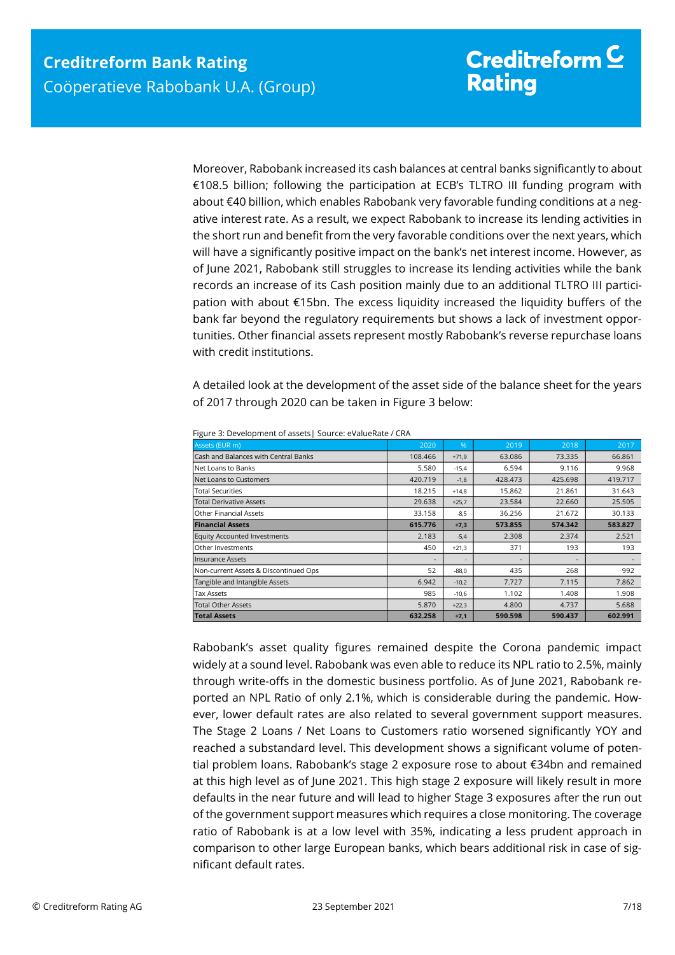Moreover, Rabobank increased its cash balances at central banks significantly to about €108.5 billion; following the participation at ECB's TLTRO III funding program with about €40 billion, which enables Rabobank very favorable funding conditions at a negative interest rate. As a result, we expect Rabobank to increase its lending activities in the short run and benefit from the very favorable conditions over the next years, which will have a significantly positive impact on the bank's net interest income. However, as of June 2021, Rabobank still struggles to increase its lending activities while the bank records an increase of its Cash position mainly due to an additional TLTRO III participation with about €15bn. The excess liquidity increased the liquidity buffers of the bank far beyond the regulatory requirements but shows a lack of investment opportunities. Other financial assets represent mostly Rabobank's reverse repurchase loans with credit institutions.

A detailed look at the development of the asset side of the balance sheet for the years of 2017 through 2020 can be taken in Figure 3 below:

| Assets (EUR m)                        | 2020    | %       | 2019    | 2018    | 2017    |
|---------------------------------------|---------|---------|---------|---------|---------|
| Cash and Balances with Central Banks  | 108.466 | $+71.9$ | 63.086  | 73.335  | 66.861  |
| Net Loans to Banks                    | 5.580   | $-15,4$ | 6.594   | 9.116   | 9.968   |
| Net Loans to Customers                | 420.719 | $-1,8$  | 428.473 | 425.698 | 419.717 |
| <b>Total Securities</b>               | 18.215  | $+14.8$ | 15.862  | 21.861  | 31.643  |
| <b>Total Derivative Assets</b>        | 29.638  | $+25,7$ | 23.584  | 22.660  | 25.505  |
| <b>Other Financial Assets</b>         | 33.158  | $-8,5$  | 36.256  | 21.672  | 30.133  |
| <b>Financial Assets</b>               | 615.776 | $+7,3$  | 573.855 | 574.342 | 583.827 |
| <b>Equity Accounted Investments</b>   | 2.183   | $-5,4$  | 2.308   | 2.374   | 2.521   |
| Other Investments                     | 450     | $+21,3$ | 371     | 193     | 193     |
| <b>Insurance Assets</b>               |         |         |         |         |         |
| Non-current Assets & Discontinued Ops | 52      | $-88.0$ | 435     | 268     | 992     |
| Tangible and Intangible Assets        | 6.942   | $-10,2$ | 7.727   | 7.115   | 7.862   |
| Tax Assets                            | 985     | $-10,6$ | 1.102   | 1.408   | 1.908   |
| <b>Total Other Assets</b>             | 5.870   | $+22,3$ | 4.800   | 4.737   | 5.688   |
| <b>Total Assets</b>                   | 632.258 | $+7,1$  | 590.598 | 590.437 | 602.991 |

Figure 3: Development of assets| Source: eValueRate / CRA

Rabobank's asset quality figures remained despite the Corona pandemic impact widely at a sound level. Rabobank was even able to reduce its NPL ratio to 2.5%, mainly through write-offs in the domestic business portfolio. As of June 2021, Rabobank reported an NPL Ratio of only 2.1%, which is considerable during the pandemic. However, lower default rates are also related to several government support measures. The Stage 2 Loans / Net Loans to Customers ratio worsened significantly YOY and reached a substandard level. This development shows a significant volume of potential problem loans. Rabobank's stage 2 exposure rose to about €34bn and remained at this high level as of June 2021. This high stage 2 exposure will likely result in more defaults in the near future and will lead to higher Stage 3 exposures after the run out of the government support measures which requires a close monitoring. The coverage ratio of Rabobank is at a low level with 35%, indicating a less prudent approach in comparison to other large European banks, which bears additional risk in case of significant default rates.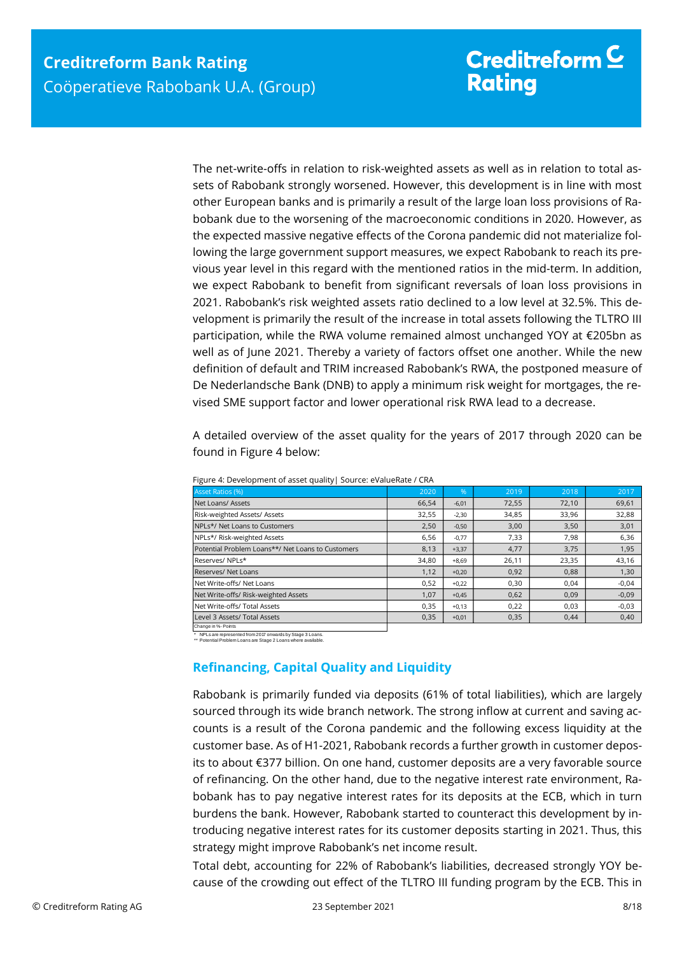The net-write-offs in relation to risk-weighted assets as well as in relation to total assets of Rabobank strongly worsened. However, this development is in line with most other European banks and is primarily a result of the large loan loss provisions of Rabobank due to the worsening of the macroeconomic conditions in 2020. However, as the expected massive negative effects of the Corona pandemic did not materialize following the large government support measures, we expect Rabobank to reach its previous year level in this regard with the mentioned ratios in the mid-term. In addition, we expect Rabobank to benefit from significant reversals of loan loss provisions in 2021. Rabobank's risk weighted assets ratio declined to a low level at 32.5%. This development is primarily the result of the increase in total assets following the TLTRO III participation, while the RWA volume remained almost unchanged YOY at €205bn as well as of June 2021. Thereby a variety of factors offset one another. While the new definition of default and TRIM increased Rabobank's RWA, the postponed measure of De Nederlandsche Bank (DNB) to apply a minimum risk weight for mortgages, the revised SME support factor and lower operational risk RWA lead to a decrease.

A detailed overview of the asset quality for the years of 2017 through 2020 can be found in Figure 4 below:

| <b>Asset Ratios (%)</b>                           | 2020  | %       | 2019  | 2018  | 2017    |
|---------------------------------------------------|-------|---------|-------|-------|---------|
| Net Loans/ Assets                                 | 66,54 | $-6,01$ | 72,55 | 72,10 | 69,61   |
| Risk-weighted Assets/ Assets                      | 32,55 | $-2,30$ | 34,85 | 33,96 | 32,88   |
| NPLs*/ Net Loans to Customers                     | 2,50  | $-0,50$ | 3,00  | 3,50  | 3,01    |
| NPLs*/ Risk-weighted Assets                       | 6,56  | $-0,77$ | 7,33  | 7,98  | 6,36    |
| Potential Problem Loans**/ Net Loans to Customers | 8,13  | $+3,37$ | 4,77  | 3,75  | 1,95    |
| Reserves/NPLs*                                    | 34.80 | $+8.69$ | 26.11 | 23,35 | 43,16   |
| Reserves/ Net Loans                               | 1,12  | $+0,20$ | 0,92  | 0,88  | 1,30    |
| Net Write-offs/ Net Loans                         | 0,52  | $+0,22$ | 0,30  | 0.04  | $-0,04$ |
| Net Write-offs/ Risk-weighted Assets              | 1.07  | $+0,45$ | 0,62  | 0,09  | $-0,09$ |
| Net Write-offs/ Total Assets                      | 0,35  | $+0,13$ | 0,22  | 0,03  | $-0,03$ |
| Level 3 Assets/ Total Assets                      | 0,35  | $+0,01$ | 0,35  | 0,44  | 0,40    |
|                                                   |       |         |       |       |         |

| Figure 4: Development of asset quality   Source: eValueRate / CRA |  |
|-------------------------------------------------------------------|--|
|-------------------------------------------------------------------|--|

Change in %- Points

<span id="page-7-0"></span>\* NPLs are represented from 2017 onwards by Stage 3 Loans. \*\* Potential Problem Loans are Stage 2 Loans where available.

### **Refinancing, Capital Quality and Liquidity**

Rabobank is primarily funded via deposits (61% of total liabilities), which are largely sourced through its wide branch network. The strong inflow at current and saving accounts is a result of the Corona pandemic and the following excess liquidity at the customer base. As of H1-2021, Rabobank records a further growth in customer deposits to about €377 billion. On one hand, customer deposits are a very favorable source of refinancing. On the other hand, due to the negative interest rate environment, Rabobank has to pay negative interest rates for its deposits at the ECB, which in turn burdens the bank. However, Rabobank started to counteract this development by introducing negative interest rates for its customer deposits starting in 2021. Thus, this strategy might improve Rabobank's net income result. **Example Account is a result of the Corona pandemic and the following excess liquidity at the crowding out effect out effect out and the TRIRO III funding program by the CRI<br>
Network out and the crowding of the Corona by** 

Total debt, accounting for 22% of Rabobank's liabilities, decreased strongly YOY be-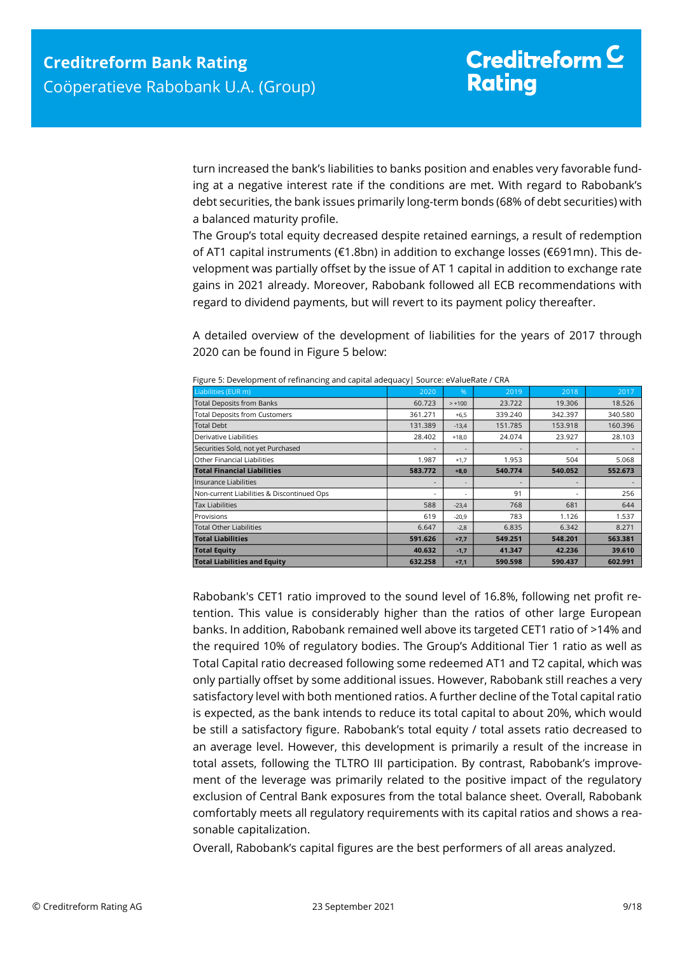turn increased the bank's liabilities to banks position and enables very favorable funding at a negative interest rate if the conditions are met. With regard to Rabobank's debt securities, the bank issues primarily long-term bonds (68% of debt securities) with a balanced maturity profile.

The Group's total equity decreased despite retained earnings, a result of redemption of AT1 capital instruments (€1.8bn) in addition to exchange losses (€691mn). This development was partially offset by the issue of AT 1 capital in addition to exchange rate gains in 2021 already. Moreover, Rabobank followed all ECB recommendations with regard to dividend payments, but will revert to its payment policy thereafter.

A detailed overview of the development of liabilities for the years of 2017 through 2020 can be found in Figure 5 below:

| Liabilities (EUR m)                        | 2020                     | %        | 2019    | 2018    | 2017    |
|--------------------------------------------|--------------------------|----------|---------|---------|---------|
| <b>Total Deposits from Banks</b>           | 60.723                   | $> +100$ | 23.722  | 19.306  | 18.526  |
| <b>Total Deposits from Customers</b>       | 361.271                  | $+6,5$   | 339.240 | 342.397 | 340.580 |
| <b>Total Debt</b>                          | 131.389                  | $-13,4$  | 151.785 | 153.918 | 160.396 |
| Derivative Liabilities                     | 28.402                   | $+18,0$  | 24.074  | 23.927  | 28.103  |
| Securities Sold, not yet Purchased         |                          |          |         |         |         |
| Other Financial Liabilities                | 1.987                    | $+1,7$   | 1.953   | 504     | 5.068   |
| <b>Total Financial Liabilities</b>         | 583.772                  | $+8,0$   | 540.774 | 540.052 | 552.673 |
| Insurance Liabilities                      |                          |          |         | -       |         |
| Non-current Liabilities & Discontinued Ops | $\overline{\phantom{0}}$ |          | 91      |         | 256     |
| <b>Tax Liabilities</b>                     | 588                      | $-23,4$  | 768     | 681     | 644     |
| Provisions                                 | 619                      | $-20,9$  | 783     | 1.126   | 1.537   |
| <b>Total Other Liabilities</b>             | 6.647                    | $-2,8$   | 6.835   | 6.342   | 8.271   |
| <b>Total Liabilities</b>                   | 591.626                  | $+7,7$   | 549.251 | 548.201 | 563.381 |
| <b>Total Equity</b>                        | 40.632                   | $-1,7$   | 41.347  | 42.236  | 39.610  |
| <b>Total Liabilities and Equity</b>        | 632.258                  | $+7,1$   | 590.598 | 590.437 | 602.991 |

Rabobank's CET1 ratio improved to the sound level of 16.8%, following net profit retention. This value is considerably higher than the ratios of other large European banks. In addition, Rabobank remained well above its targeted CET1 ratio of >14% and the required 10% of regulatory bodies. The Group's Additional Tier 1 ratio as well as Total Capital ratio decreased following some redeemed AT1 and T2 capital, which was only partially offset by some additional issues. However, Rabobank still reaches a very satisfactory level with both mentioned ratios. A further decline of the Total capital ratio is expected, as the bank intends to reduce its total capital to about 20%, which would be still a satisfactory figure. Rabobank's total equity / total assets ratio decreased to an average level. However, this development is primarily a result of the increase in total assets, following the TLTRO III participation. By contrast, Rabobank's improvement of the leverage was primarily related to the positive impact of the regulatory exclusion of Central Bank exposures from the total balance sheet. Overall, Rabobank comfortably meets all regulatory requirements with its capital ratios and shows a reasonable capitalization.

Overall, Rabobank's capital figures are the best performers of all areas analyzed.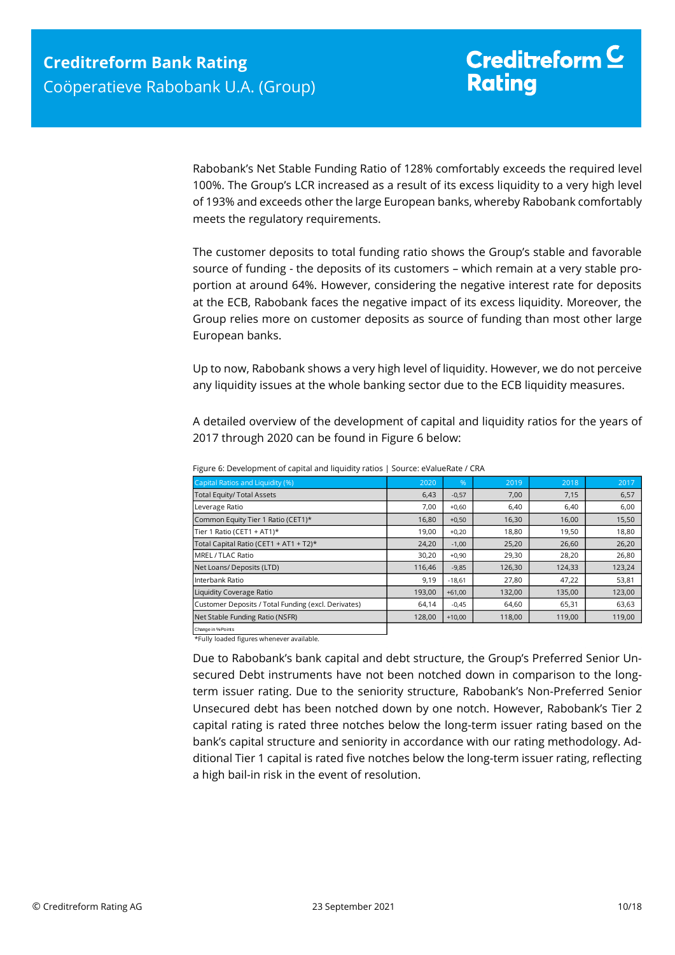Rabobank's Net Stable Funding Ratio of 128% comfortably exceeds the required level 100%. The Group's LCR increased as a result of its excess liquidity to a very high level of 193% and exceeds other the large European banks, whereby Rabobank comfortably meets the regulatory requirements.

The customer deposits to total funding ratio shows the Group's stable and favorable source of funding - the deposits of its customers – which remain at a very stable proportion at around 64%. However, considering the negative interest rate for deposits at the ECB, Rabobank faces the negative impact of its excess liquidity. Moreover, the Group relies more on customer deposits as source of funding than most other large European banks.

Up to now, Rabobank shows a very high level of liquidity. However, we do not perceive any liquidity issues at the whole banking sector due to the ECB liquidity measures.

A detailed overview of the development of capital and liquidity ratios for the years of 2017 through 2020 can be found in Figure 6 below:

| Capital Ratios and Liquidity (%)                    | 2020   | %        | 2019   | 2018   | 2017   |
|-----------------------------------------------------|--------|----------|--------|--------|--------|
| <b>Total Equity/ Total Assets</b>                   | 6,43   | $-0,57$  | 7,00   | 7,15   | 6,57   |
| Leverage Ratio                                      | 7,00   | $+0,60$  | 6,40   | 6,40   | 6,00   |
| Common Equity Tier 1 Ratio (CET1)*                  | 16,80  | $+0,50$  | 16,30  | 16,00  | 15,50  |
| Tier 1 Ratio (CET1 + AT1)*                          | 19,00  | $+0,20$  | 18,80  | 19,50  | 18,80  |
| Total Capital Ratio (CET1 + AT1 + T2)*              | 24,20  | $-1,00$  | 25,20  | 26,60  | 26,20  |
| MREL / TLAC Ratio                                   | 30,20  | $+0,90$  | 29,30  | 28,20  | 26,80  |
| Net Loans/ Deposits (LTD)                           | 116.46 | $-9,85$  | 126,30 | 124,33 | 123,24 |
| Interbank Ratio                                     | 9,19   | $-18,61$ | 27,80  | 47,22  | 53,81  |
| Liquidity Coverage Ratio                            | 193,00 | $+61,00$ | 132,00 | 135,00 | 123,00 |
| Customer Deposits / Total Funding (excl. Derivates) | 64,14  | $-0.45$  | 64,60  | 65,31  | 63,63  |
| Net Stable Funding Ratio (NSFR)                     | 128,00 | $+10,00$ | 118,00 | 119,00 | 119,00 |
| Change in % Points                                  |        |          |        |        |        |

Figure 6: Development of capital and liquidity ratios | Source: eValueRate / CRA

\*Fully loaded figures whenever available.

Due to Rabobank's bank capital and debt structure, the Group's Preferred Senior Unsecured Debt instruments have not been notched down in comparison to the longterm issuer rating. Due to the seniority structure, Rabobank's Non-Preferred Senior Unsecured debt has been notched down by one notch. However, Rabobank's Tier 2 capital rating is rated three notches below the long-term issuer rating based on the bank's capital structure and seniority in accordance with our rating methodology. Additional Tier 1 capital is rated five notches below the long-term issuer rating, reflecting a high bail-in risk in the event of resolution.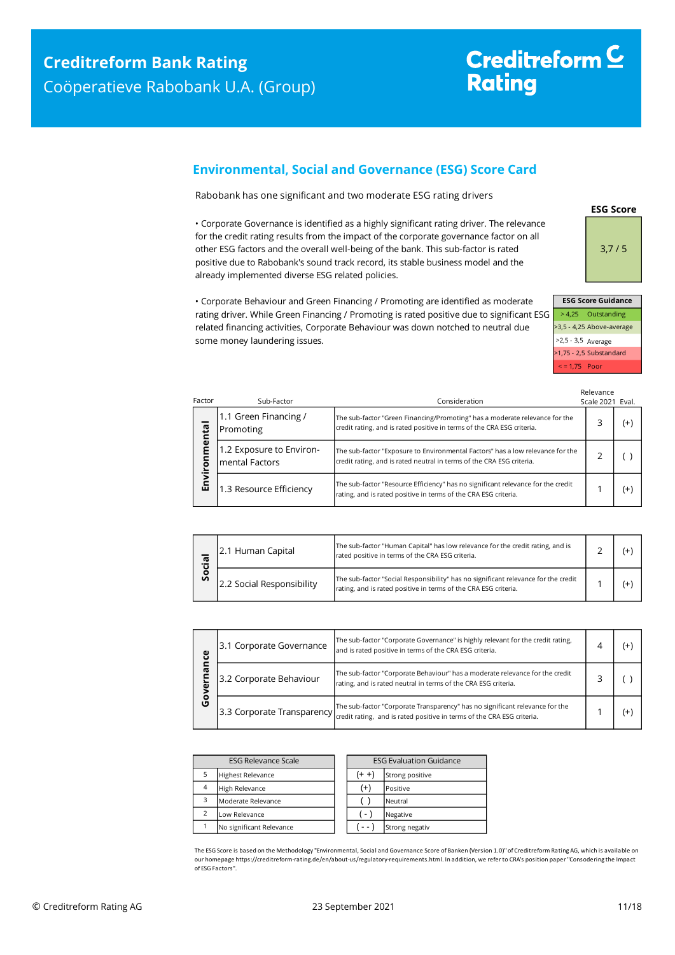## <span id="page-10-0"></span>**Environmental, Social and Governance (ESG) Score Card**

Rabobank has one significant and two moderate ESG rating drivers

• Corporate Governance is identified as a highly significant rating driver. The relevance for the credit rating results from the impact of the corporate governance factor on all other ESG factors and the overall well-being of the bank. This sub-factor is rated positive due to Rabobank's sound track record, its stable business model and the already implemented diverse ESG related policies.

• Corporate Behaviour and Green Financing / Promoting are identified as moderate rating driver. While Green Financing / Promoting is rated positive due to significant ESG related financing activities, Corporate Behaviour was down notched to neutral due some money laundering issues.

**ESG Score**

3,7 / 5

| <b>ESG Score Guidance</b> |                           |
|---------------------------|---------------------------|
|                           | > 4,25 Outstanding        |
|                           | >3,5 - 4,25 Above-average |
| >2,5 - 3,5 Average        |                           |
|                           | >1,75 - 2,5 Substandard   |
| $\le$ = 1,75 Poor         |                           |

| Factor       | Sub-Factor                                 | Consideration                                                                                                                                           | Relevance<br>Scale 2021 Eval. |          |
|--------------|--------------------------------------------|---------------------------------------------------------------------------------------------------------------------------------------------------------|-------------------------------|----------|
|              | 1.1 Green Financing /<br>Promoting         | The sub-factor "Green Financing/Promoting" has a moderate relevance for the<br>credit rating, and is rated positive in terms of the CRA ESG criteria.   | 3                             | $^{(+)}$ |
| nmental<br>ō | 1.2 Exposure to Environ-<br>mental Factors | The sub-factor "Exposure to Environmental Factors" has a low relevance for the<br>credit rating, and is rated neutral in terms of the CRA ESG criteria. |                               |          |
| Envil        | 1.3 Resource Efficiency                    | The sub-factor "Resource Efficiency" has no significant relevance for the credit<br>rating, and is rated positive in terms of the CRA ESG criteria.     |                               | $(+)$    |

| σ  | 2.1 Human Capital         | The sub-factor "Human Capital" has low relevance for the credit rating, and is<br>rated positive in terms of the CRA ESG criteria.                    |  |  |
|----|---------------------------|-------------------------------------------------------------------------------------------------------------------------------------------------------|--|--|
| တိ | 2.2 Social Responsibility | The sub-factor "Social Responsibility" has no significant relevance for the credit<br>rating, and is rated positive in terms of the CRA ESG criteria. |  |  |

| ပ္ပ    | 3.1 Corporate Governance | The sub-factor "Corporate Governance" is highly relevant for the credit rating,<br>and is rated positive in terms of the CRA ESG criteria.                                                          | ⊿ |    |
|--------|--------------------------|-----------------------------------------------------------------------------------------------------------------------------------------------------------------------------------------------------|---|----|
| ᠭᡦ     | 3.2 Corporate Behaviour  | The sub-factor "Corporate Behaviour" has a moderate relevance for the credit<br>rating, and is rated neutral in terms of the CRA ESG criteria.                                                      |   |    |
| o<br>ט |                          | 3.3 Corporate Transparency The sub-factor "Corporate Transparency" has no significant relevance for the 3.3 Corporate Transparency retaing, and is rated positive in terms of the CRA ESG criteria. |   | Ι+ |

|                | <b>ESG Relevance Scale</b> | <b>ESG Evaluation Guidance</b> |                |
|----------------|----------------------------|--------------------------------|----------------|
| 5              | <b>Highest Relevance</b>   | (+ +<br>Strong positive        |                |
| $\overline{4}$ | High Relevance             | $^{(+)}$                       | Positive       |
| 3              | Moderate Relevance         | Neutral                        |                |
| $\mathcal{P}$  | Low Relevance              | $-1$                           | Negative       |
|                | No significant Relevance   |                                | Strong negativ |

The ESG Score is based on the Methodology "Environmental, Social and Governance Score of Banken (Version 1.0)" of Creditreform Rating AG, which is available on our homepage https://creditreform-rating.de/en/about-us/regulatory-requirements.html. In addition, we refer to CRA's position paper "Consodering the Impact of ESG Factors".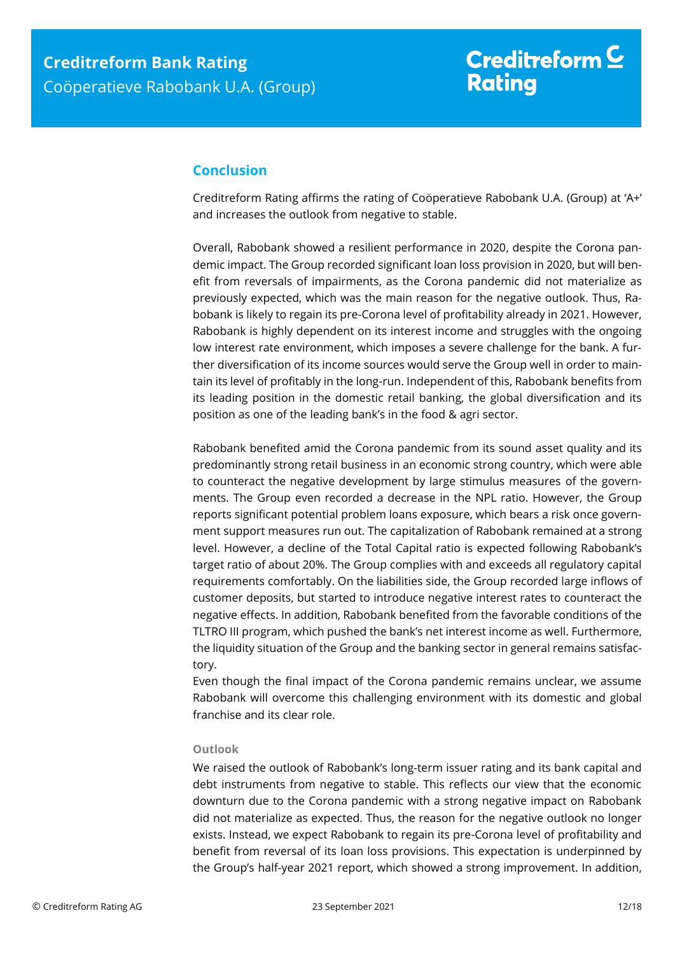## <span id="page-11-0"></span>**Conclusion**

Creditreform Rating affirms the rating of Coöperatieve Rabobank U.A. (Group) at 'A+' and increases the outlook from negative to stable.

Overall, Rabobank showed a resilient performance in 2020, despite the Corona pandemic impact. The Group recorded significant loan loss provision in 2020, but will benefit from reversals of impairments, as the Corona pandemic did not materialize as previously expected, which was the main reason for the negative outlook. Thus, Rabobank is likely to regain its pre-Corona level of profitability already in 2021. However, Rabobank is highly dependent on its interest income and struggles with the ongoing low interest rate environment, which imposes a severe challenge for the bank. A further diversification of its income sources would serve the Group well in order to maintain its level of profitably in the long-run. Independent of this, Rabobank benefits from its leading position in the domestic retail banking, the global diversification and its position as one of the leading bank's in the food & agri sector.

Rabobank benefited amid the Corona pandemic from its sound asset quality and its predominantly strong retail business in an economic strong country, which were able to counteract the negative development by large stimulus measures of the governments. The Group even recorded a decrease in the NPL ratio. However, the Group reports significant potential problem loans exposure, which bears a risk once government support measures run out. The capitalization of Rabobank remained at a strong level. However, a decline of the Total Capital ratio is expected following Rabobank's target ratio of about 20%. The Group complies with and exceeds all regulatory capital requirements comfortably. On the liabilities side, the Group recorded large inflows of customer deposits, but started to introduce negative interest rates to counteract the negative effects. In addition, Rabobank benefited from the favorable conditions of the TLTRO III program, which pushed the bank's net interest income as well. Furthermore, the liquidity situation of the Group and the banking sector in general remains satisfactory.

Even though the final impact of the Corona pandemic remains unclear, we assume Rabobank will overcome this challenging environment with its domestic and global franchise and its clear role.

#### **Outlook**

We raised the outlook of Rabobank's long-term issuer rating and its bank capital and debt instruments from negative to stable. This reflects our view that the economic downturn due to the Corona pandemic with a strong negative impact on Rabobank did not materialize as expected. Thus, the reason for the negative outlook no longer exists. Instead, we expect Rabobank to regain its pre-Corona level of profitability and benefit from reversal of its loan loss provisions. This expectation is underpinned by the Group's half-year 2021 report, which showed a strong improvement. In addition,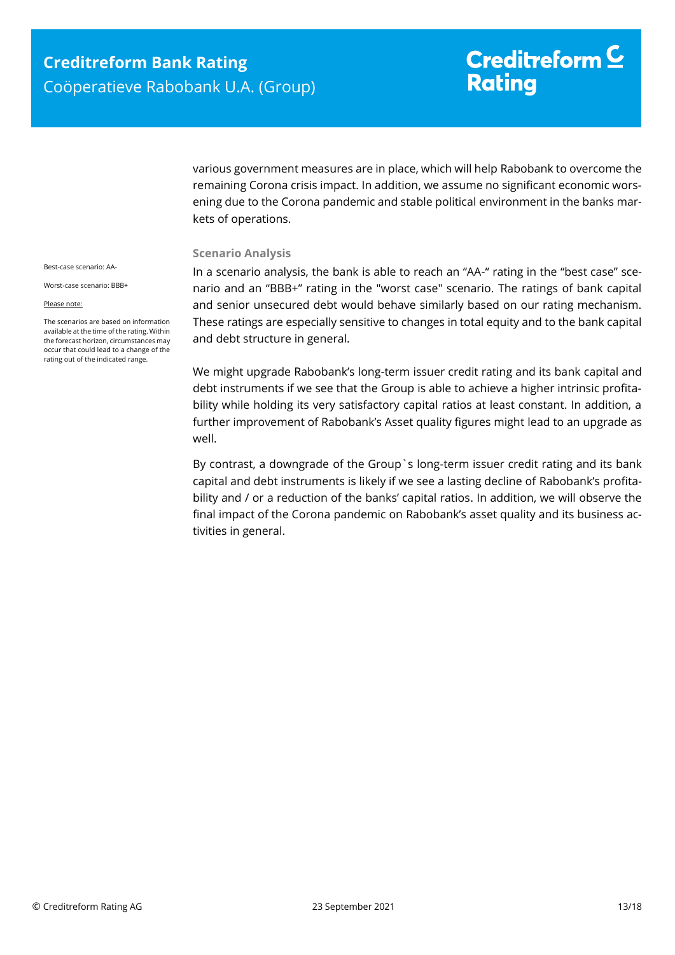# Creditreform  $\subseteq$ **Rating**

various government measures are in place, which will help Rabobank to overcome the remaining Corona crisis impact. In addition, we assume no significant economic worsening due to the Corona pandemic and stable political environment in the banks markets of operations.

#### **Scenario Analysis**

In a scenario analysis, the bank is able to reach an "AA-" rating in the "best case" scenario and an "BBB+" rating in the "worst case" scenario. The ratings of bank capital and senior unsecured debt would behave similarly based on our rating mechanism. These ratings are especially sensitive to changes in total equity and to the bank capital and debt structure in general.

We might upgrade Rabobank's long-term issuer credit rating and its bank capital and debt instruments if we see that the Group is able to achieve a higher intrinsic profitability while holding its very satisfactory capital ratios at least constant. In addition, a further improvement of Rabobank's Asset quality figures might lead to an upgrade as well.

By contrast, a downgrade of the Group`s long-term issuer credit rating and its bank capital and debt instruments is likely if we see a lasting decline of Rabobank's profitability and / or a reduction of the banks' capital ratios. In addition, we will observe the final impact of the Corona pandemic on Rabobank's asset quality and its business activities in general.

Best-case scenario: AA-

Worst-case scenario: BBB+

#### Please note:

The scenarios are based on information available at the time of the rating. Within the forecast horizon, circumstances may occur that could lead to a change of the rating out of the indicated range.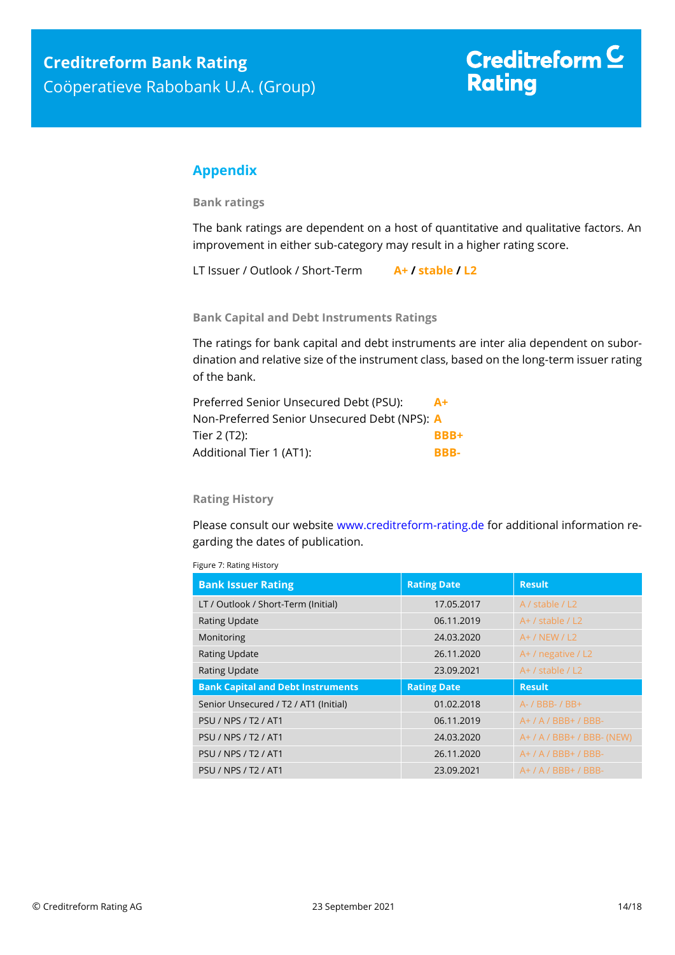## <span id="page-13-0"></span>**Appendix**

**Bank ratings**

The bank ratings are dependent on a host of quantitative and qualitative factors. An improvement in either sub-category may result in a higher rating score.

LT Issuer / Outlook / Short-Term **A+ / stable / L2**

**Bank Capital and Debt Instruments Ratings**

The ratings for bank capital and debt instruments are inter alia dependent on subordination and relative size of the instrument class, based on the long-term issuer rating of the bank.

| Preferred Senior Unsecured Debt (PSU):       | $A+$        |
|----------------------------------------------|-------------|
| Non-Preferred Senior Unsecured Debt (NPS): A |             |
| Tier 2 (T2):                                 | <b>RRR+</b> |
| Additional Tier 1 (AT1):                     | RRR-        |

#### **Rating History**

Please consult our website [www.creditreform-rating.de](http://www.creditreform-rating.de/) for additional information regarding the dates of publication.

| Figure 7: Rating History |  |
|--------------------------|--|
|                          |  |

| <b>Bank Issuer Rating</b>                | <b>Rating Date</b> | <b>Result</b>                |
|------------------------------------------|--------------------|------------------------------|
| LT / Outlook / Short-Term (Initial)      | 17.05.2017         | A / stable / L2              |
| <b>Rating Update</b>                     | 06.11.2019         | $A+$ / stable / L2           |
| Monitoring                               | 24.03.2020         | $A+ / NEW / L2$              |
| <b>Rating Update</b>                     | 26.11.2020         | A+ / negative / L2           |
| <b>Rating Update</b>                     | 23.09.2021         | $A+$ / stable / L2           |
|                                          |                    |                              |
| <b>Bank Capital and Debt Instruments</b> | <b>Rating Date</b> | <b>Result</b>                |
| Senior Unsecured / T2 / AT1 (Initial)    | 01.02.2018         | A- / BBB- / BB+              |
| <b>PSU / NPS / T2 / AT1</b>              | 06.11.2019         | $A+ / A / BBB+ / BBB-$       |
| <b>PSU / NPS / T2 / AT1</b>              | 24.03.2020         | $A+ / A / BBB+ / BBB- (NEW)$ |
| <b>PSU / NPS / T2 / AT1</b>              | 26.11.2020         | $A+ / A / BBB+ / BBB-$       |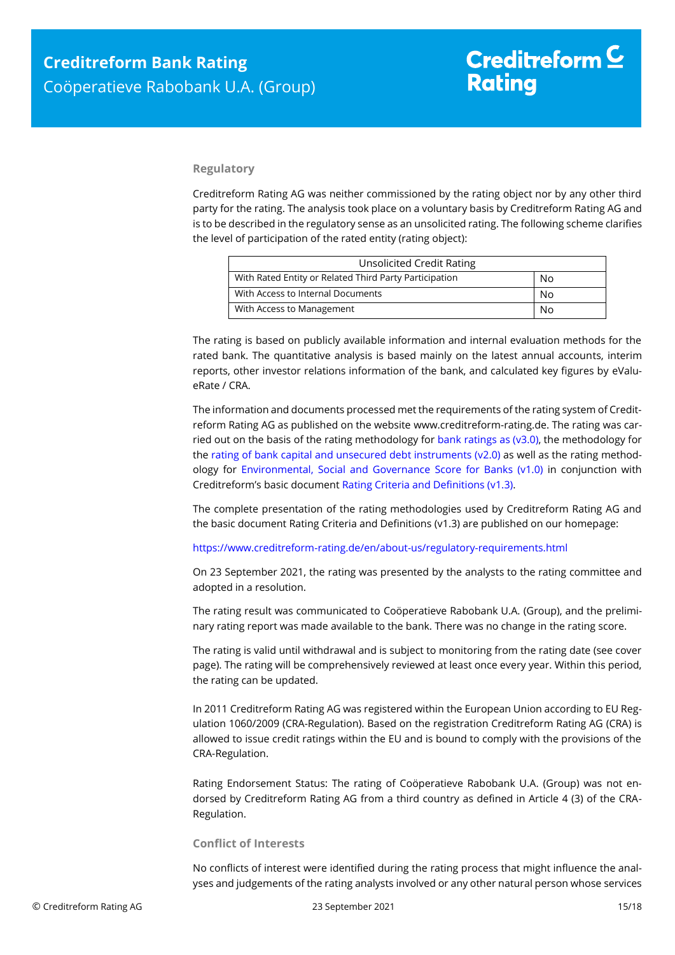#### **Regulatory**

Creditreform Rating AG was neither commissioned by the rating object nor by any other third party for the rating. The analysis took place on a voluntary basis by Creditreform Rating AG and is to be described in the regulatory sense as an unsolicited rating. The following scheme clarifies the level of participation of the rated entity (rating object):

| <b>Unsolicited Credit Rating</b>                       |    |
|--------------------------------------------------------|----|
| With Rated Entity or Related Third Party Participation | No |
| With Access to Internal Documents                      | No |
| With Access to Management                              | No |

The rating is based on publicly available information and internal evaluation methods for the rated bank. The quantitative analysis is based mainly on the latest annual accounts, interim reports, other investor relations information of the bank, and calculated key figures by eValueRate / CRA.

The information and documents processed met the requirements of the rating system of Creditreform Rating AG as published on the website www.creditreform-rating.de. The rating was carried out on the basis of the rating methodology for bank ratings as ( $v3.0$ ), the methodology for the [rating of bank capital and unsecured debt instruments \(v2.0\)](https://www.creditreform-rating.de/en/about-us/regulatory-requirements.html?file=files/content/downloads/Externes%20Rating/Regulatorische%20Anforderungen/EN/Ratingmethodiken%20EN/Bank%20Capital%20and%20Unsecured%20Debt%20Instruments%20Methodology.pdf) as well as the rating methodology for [Environmental, Social and Governance](https://www.creditreform-rating.de/en/about-us/regulatory-requirements.html?file=files/content/downloads/Externes%20Rating/Regulatorische%20Anforderungen/EN/Ratingmethodiken%20EN/Rating%20Methodology%20ESG%20v1.0.pdf) Score for Banks (v1.0) in conjunction with Creditreform's basic document [Rating Criteria and Definitions \(v1.3\).](https://www.creditreform-rating.de/en/about-us/regulatory-requirements.html?file=files/content/downloads/Externes%20Rating/Regulatorische%20Anforderungen/EN/Ratingmethodiken%20EN/CRAG%20Rating%20Criteria%20and%20Definitions.pdf)

The complete presentation of the rating methodologies used by Creditreform Rating AG and the basic document Rating Criteria and Definitions (v1.3) are published on our homepage:

<https://www.creditreform-rating.de/en/about-us/regulatory-requirements.html>

On 23 September 2021, the rating was presented by the analysts to the rating committee and adopted in a resolution.

The rating result was communicated to Coöperatieve Rabobank U.A. (Group), and the preliminary rating report was made available to the bank. There was no change in the rating score.

The rating is valid until withdrawal and is subject to monitoring from the rating date (see cover page). The rating will be comprehensively reviewed at least once every year. Within this period, the rating can be updated.

In 2011 Creditreform Rating AG was registered within the European Union according to EU Regulation 1060/2009 (CRA-Regulation). Based on the registration Creditreform Rating AG (CRA) is allowed to issue credit ratings within the EU and is bound to comply with the provisions of the CRA-Regulation.

Rating Endorsement Status: The rating of Coöperatieve Rabobank U.A. (Group) was not endorsed by Creditreform Rating AG from a third country as defined in Article 4 (3) of the CRA-Regulation.

#### **Conflict of Interests**

No conflicts of interest were identified during the rating process that might influence the analyses and judgements of the rating analysts involved or any other natural person whose services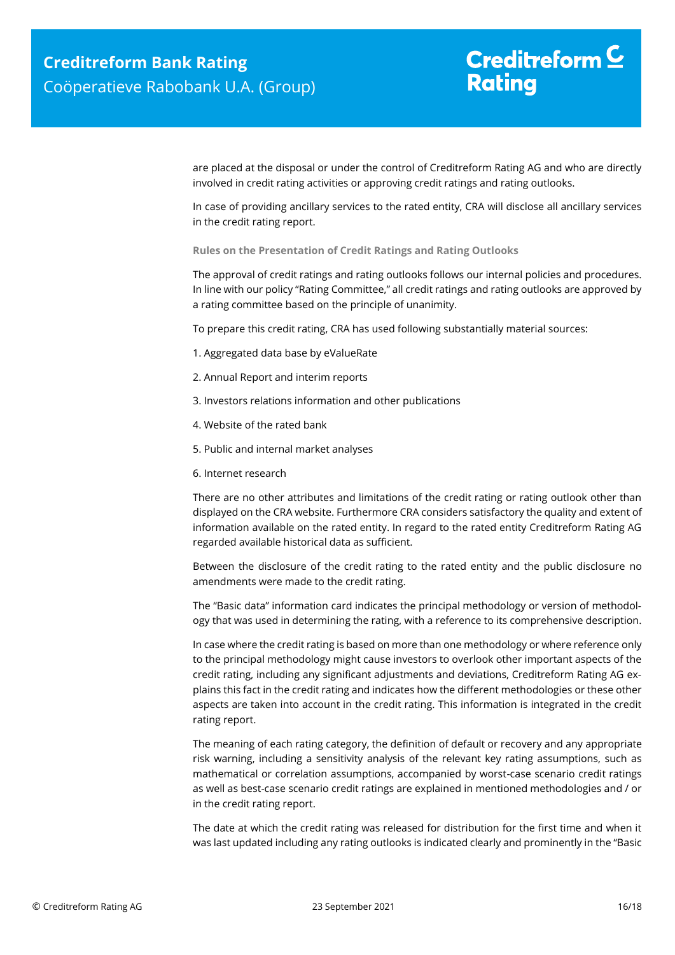are placed at the disposal or under the control of Creditreform Rating AG and who are directly involved in credit rating activities or approving credit ratings and rating outlooks.

In case of providing ancillary services to the rated entity, CRA will disclose all ancillary services in the credit rating report.

**Rules on the Presentation of Credit Ratings and Rating Outlooks**

The approval of credit ratings and rating outlooks follows our internal policies and procedures. In line with our policy "Rating Committee," all credit ratings and rating outlooks are approved by a rating committee based on the principle of unanimity.

To prepare this credit rating, CRA has used following substantially material sources:

- 1. Aggregated data base by eValueRate
- 2. Annual Report and interim reports
- 3. Investors relations information and other publications
- 4. Website of the rated bank
- 5. Public and internal market analyses
- 6. Internet research

There are no other attributes and limitations of the credit rating or rating outlook other than displayed on the CRA website. Furthermore CRA considers satisfactory the quality and extent of information available on the rated entity. In regard to the rated entity Creditreform Rating AG regarded available historical data as sufficient.

Between the disclosure of the credit rating to the rated entity and the public disclosure no amendments were made to the credit rating.

The "Basic data" information card indicates the principal methodology or version of methodology that was used in determining the rating, with a reference to its comprehensive description.

In case where the credit rating is based on more than one methodology or where reference only to the principal methodology might cause investors to overlook other important aspects of the credit rating, including any significant adjustments and deviations, Creditreform Rating AG explains this fact in the credit rating and indicates how the different methodologies or these other aspects are taken into account in the credit rating. This information is integrated in the credit rating report.

The meaning of each rating category, the definition of default or recovery and any appropriate risk warning, including a sensitivity analysis of the relevant key rating assumptions, such as mathematical or correlation assumptions, accompanied by worst-case scenario credit ratings as well as best-case scenario credit ratings are explained in mentioned methodologies and / or in the credit rating report.

The date at which the credit rating was released for distribution for the first time and when it was last updated including any rating outlooks is indicated clearly and prominently in the "Basic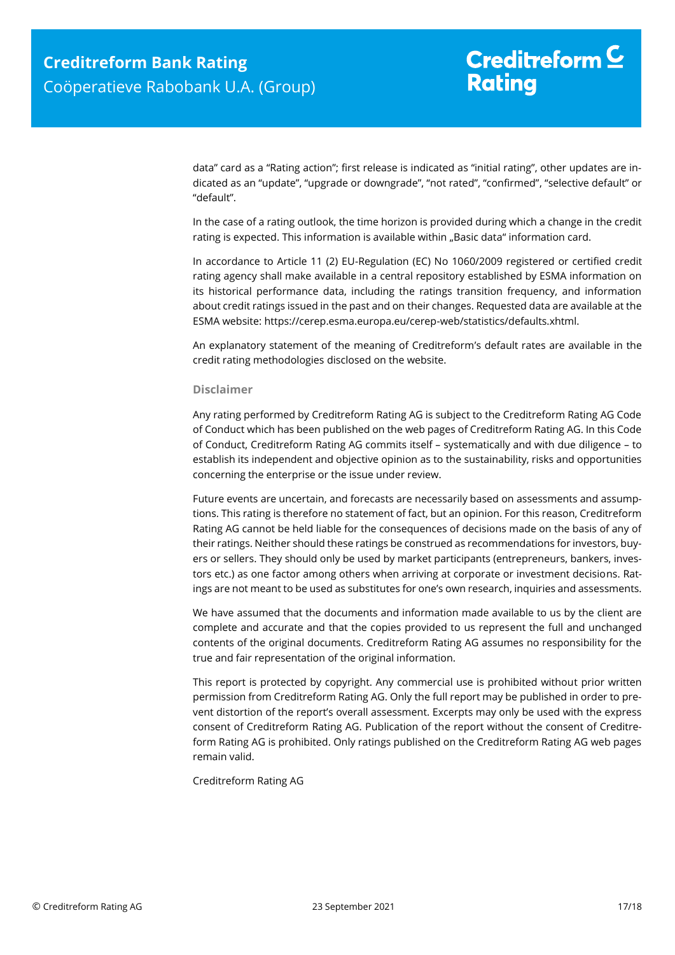data" card as a "Rating action"; first release is indicated as "initial rating", other updates are indicated as an "update", "upgrade or downgrade", "not rated", "confirmed", "selective default" or "default".

In the case of a rating outlook, the time horizon is provided during which a change in the credit rating is expected. This information is available within "Basic data" information card.

In accordance to Article 11 (2) EU-Regulation (EC) No 1060/2009 registered or certified credit rating agency shall make available in a central repository established by ESMA information on its historical performance data, including the ratings transition frequency, and information about credit ratings issued in the past and on their changes. Requested data are available at the ESMA website: https://cerep.esma.europa.eu/cerep-web/statistics/defaults.xhtml.

An explanatory statement of the meaning of Creditreform's default rates are available in the credit rating methodologies disclosed on the website.

#### **Disclaimer**

Any rating performed by Creditreform Rating AG is subject to the Creditreform Rating AG Code of Conduct which has been published on the web pages of Creditreform Rating AG. In this Code of Conduct, Creditreform Rating AG commits itself – systematically and with due diligence – to establish its independent and objective opinion as to the sustainability, risks and opportunities concerning the enterprise or the issue under review.

Future events are uncertain, and forecasts are necessarily based on assessments and assumptions. This rating is therefore no statement of fact, but an opinion. For this reason, Creditreform Rating AG cannot be held liable for the consequences of decisions made on the basis of any of their ratings. Neither should these ratings be construed as recommendations for investors, buyers or sellers. They should only be used by market participants (entrepreneurs, bankers, investors etc.) as one factor among others when arriving at corporate or investment decisions. Ratings are not meant to be used as substitutes for one's own research, inquiries and assessments.

We have assumed that the documents and information made available to us by the client are complete and accurate and that the copies provided to us represent the full and unchanged contents of the original documents. Creditreform Rating AG assumes no responsibility for the true and fair representation of the original information.

This report is protected by copyright. Any commercial use is prohibited without prior written permission from Creditreform Rating AG. Only the full report may be published in order to prevent distortion of the report's overall assessment. Excerpts may only be used with the express consent of Creditreform Rating AG. Publication of the report without the consent of Creditreform Rating AG is prohibited. Only ratings published on the Creditreform Rating AG web pages remain valid.

Creditreform Rating AG